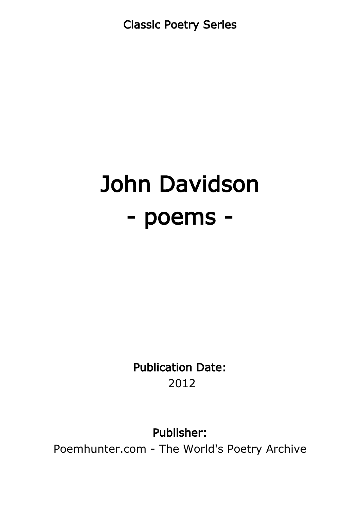Classic Poetry Series

# John Davidson - poems -

Publication Date: 2012

Publisher:

Poemhunter.com - The World's Poetry Archive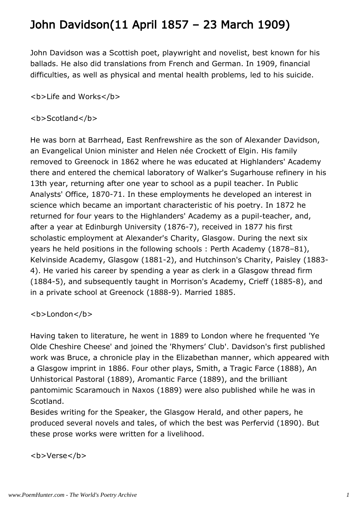## John Davidson(11 April 1857 – 23 March 1909)

John Davidson was a Scottish poet, playwright and novelist, best known for his ballads. He also did translations from French and German. In 1909, financial difficulties, as well as physical and mental health problems, led to his suicide.

<b>Life and Works</b>

#### <b>Scotland</b>

He was born at Barrhead, East Renfrewshire as the son of Alexander Davidson, an Evangelical Union minister and Helen née Crockett of Elgin. His family removed to Greenock in 1862 where he was educated at Highlanders' Academy there and entered the chemical laboratory of Walker's Sugarhouse refinery in his 13th year, returning after one year to school as a pupil teacher. In Public Analysts' Office, 1870-71. In these employments he developed an interest in science which became an important characteristic of his poetry. In 1872 he returned for four years to the Highlanders' Academy as a pupil-teacher, and, after a year at Edinburgh University (1876-7), received in 1877 his first scholastic employment at Alexander's Charity, Glasgow. During the next six years he held positions in the following schools : Perth Academy (1878–81), Kelvinside Academy, Glasgow (1881-2), and Hutchinson's Charity, Paisley (1883- 4). He varied his career by spending a year as clerk in a Glasgow thread firm (1884-5), and subsequently taught in Morrison's Academy, Crieff (1885-8), and in a private school at Greenock (1888-9). Married 1885.

#### <b>London</b>

Having taken to literature, he went in 1889 to London where he frequented 'Ye Olde Cheshire Cheese' and joined the 'Rhymers' Club'. Davidson's first published work was Bruce, a chronicle play in the Elizabethan manner, which appeared with a Glasgow imprint in 1886. Four other plays, Smith, a Tragic Farce (1888), An Unhistorical Pastoral (1889), Aromantic Farce (1889), and the brilliant pantomimic Scaramouch in Naxos (1889) were also published while he was in Scotland.

Besides writing for the Speaker, the Glasgow Herald, and other papers, he produced several novels and tales, of which the best was Perfervid (1890). But these prose works were written for a livelihood.

<b>Verse</b>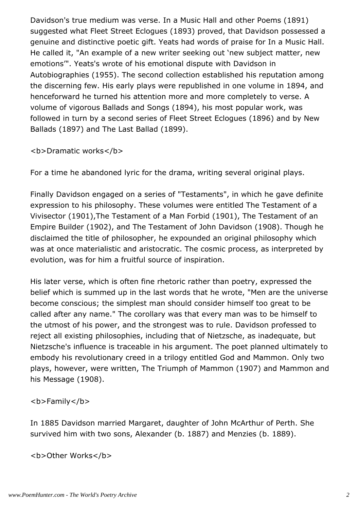Davidson's true medium was verse. In a Music Hall and other Poems (1891) suggested what Fleet Street Eclogues (1893) proved, that Davidson possessed a genuine and distinctive poetic gift. Yeats had words of praise for In a Music Hall. He called it, "An example of a new writer seeking out 'new subject matter, new emotions'". Yeats's wrote of his emotional dispute with Davidson in Autobiographies (1955). The second collection established his reputation among the discerning few. His early plays were republished in one volume in 1894, and henceforward he turned his attention more and more completely to verse. A volume of vigorous Ballads and Songs (1894), his most popular work, was followed in turn by a second series of Fleet Street Eclogues (1896) and by New Ballads (1897) and The Last Ballad (1899).

**<b>Dramatic works</b>** 

For a time he abandoned lyric for the drama, writing several original plays.

Finally Davidson engaged on a series of "Testaments", in which he gave definite expression to his philosophy. These volumes were entitled The Testament of a Vivisector (1901),The Testament of a Man Forbid (1901), The Testament of an Empire Builder (1902), and The Testament of John Davidson (1908). Though he disclaimed the title of philosopher, he expounded an original philosophy which was at once materialistic and aristocratic. The cosmic process, as interpreted by evolution, was for him a fruitful source of inspiration.

His later verse, which is often fine rhetoric rather than poetry, expressed the belief which is summed up in the last words that he wrote, "Men are the universe become conscious; the simplest man should consider himself too great to be called after any name." The corollary was that every man was to be himself to the utmost of his power, and the strongest was to rule. Davidson professed to reject all existing philosophies, including that of Nietzsche, as inadequate, but Nietzsche's influence is traceable in his argument. The poet planned ultimately to embody his revolutionary creed in a trilogy entitled God and Mammon. Only two plays, however, were written, The Triumph of Mammon (1907) and Mammon and his Message (1908).

<b>Family</b>

In 1885 Davidson married Margaret, daughter of John McArthur of Perth. She survived him with two sons, Alexander (b. 1887) and Menzies (b. 1889).

<b>Other Works</b>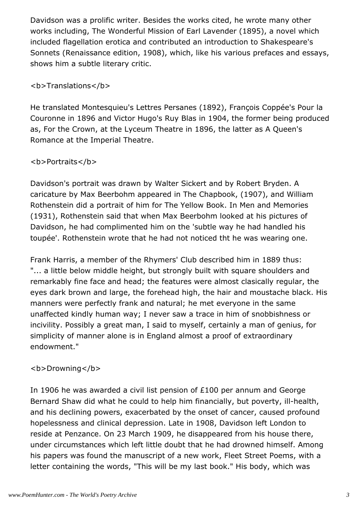Davidson was a prolific writer. Besides the works cited, he wrote many other works including, The Wonderful Mission of Earl Lavender (1895), a novel which included flagellation erotica and contributed an introduction to Shakespeare's Sonnets (Renaissance edition, 1908), which, like his various prefaces and essays, shows him a subtle literary critic.

#### <b>Translations</b>

He translated Montesquieu's Lettres Persanes (1892), François Coppée's Pour la Couronne in 1896 and Victor Hugo's Ruy Blas in 1904, the former being produced as, For the Crown, at the Lyceum Theatre in 1896, the latter as A Queen's Romance at the Imperial Theatre.

#### <b>Portraits</b>

Davidson's portrait was drawn by Walter Sickert and by Robert Bryden. A caricature by Max Beerbohm appeared in The Chapbook, (1907), and William Rothenstein did a portrait of him for The Yellow Book. In Men and Memories (1931), Rothenstein said that when Max Beerbohm looked at his pictures of Davidson, he had complimented him on the 'subtle way he had handled his toupée'. Rothenstein wrote that he had not noticed tht he was wearing one.

Frank Harris, a member of the Rhymers' Club described him in 1889 thus: "... a little below middle height, but strongly built with square shoulders and remarkably fine face and head; the features were almost clasically regular, the eyes dark brown and large, the forehead high, the hair and moustache black. His manners were perfectly frank and natural; he met everyone in the same unaffected kindly human way; I never saw a trace in him of snobbishness or incivility. Possibly a great man, I said to myself, certainly a man of genius, for simplicity of manner alone is in England almost a proof of extraordinary endowment."

#### <b>Drowning</b>

In 1906 he was awarded a civil list pension of £100 per annum and George Bernard Shaw did what he could to help him financially, but poverty, ill-health, and his declining powers, exacerbated by the onset of cancer, caused profound hopelessness and clinical depression. Late in 1908, Davidson left London to reside at Penzance. On 23 March 1909, he disappeared from his house there, under circumstances which left little doubt that he had drowned himself. Among his papers was found the manuscript of a new work, Fleet Street Poems, with a letter containing the words, "This will be my last book." His body, which was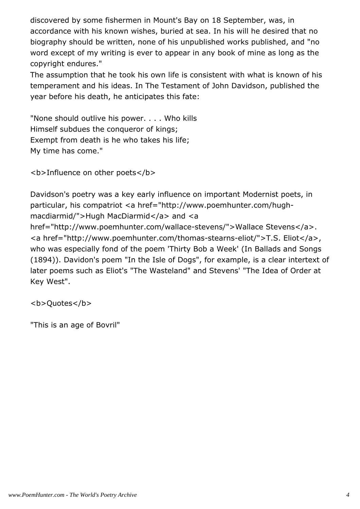discovered by some fishermen in Mount's Bay on 18 September, was, in accordance with his known wishes, buried at sea. In his will he desired that no biography should be written, none of his unpublished works published, and "no word except of my writing is ever to appear in any book of mine as long as the copyright endures."

The assumption that he took his own life is consistent with what is known of his temperament and his ideas. In The Testament of John Davidson, published the year before his death, he anticipates this fate:

"None should outlive his power. . . . Who kills Himself subdues the conqueror of kings; Exempt from death is he who takes his life; My time has come."

```
<b>Influence on other poets</b>
```
Davidson's poetry was a key early influence on important Modernist poets, in particular, his compatriot <a href="http://www.poemhunter.com/hughmacdiarmid/">Hugh MacDiarmid</a> and <a href="http://www.poemhunter.com/wallace-stevens/">Wallace Stevens</a>. <a href="http://www.poemhunter.com/thomas-stearns-eliot/">T.S. Eliot</a>, who was especially fond of the poem 'Thirty Bob a Week' (In Ballads and Songs (1894)). Davidon's poem "In the Isle of Dogs", for example, is a clear intertext of later poems such as Eliot's "The Wasteland" and Stevens' "The Idea of Order at Key West".

<b>Quotes</b>

"This is an age of Bovril"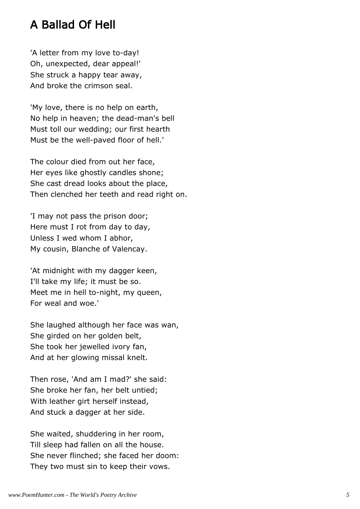#### A Ballad Of Hell

'A letter from my love to-day! Oh, unexpected, dear appeal!' She struck a happy tear away, And broke the crimson seal.

'My love, there is no help on earth, No help in heaven; the dead-man's bell Must toll our wedding; our first hearth Must be the well-paved floor of hell.'

The colour died from out her face, Her eyes like ghostly candles shone; She cast dread looks about the place, Then clenched her teeth and read right on.

'I may not pass the prison door; Here must I rot from day to day, Unless I wed whom I abhor, My cousin, Blanche of Valencay.

'At midnight with my dagger keen, I'll take my life; it must be so. Meet me in hell to-night, my queen, For weal and woe.'

She laughed although her face was wan, She girded on her golden belt, She took her jewelled ivory fan, And at her glowing missal knelt.

Then rose, 'And am I mad?' she said: She broke her fan, her belt untied; With leather girt herself instead, And stuck a dagger at her side.

She waited, shuddering in her room, Till sleep had fallen on all the house. She never flinched; she faced her doom: They two must sin to keep their vows.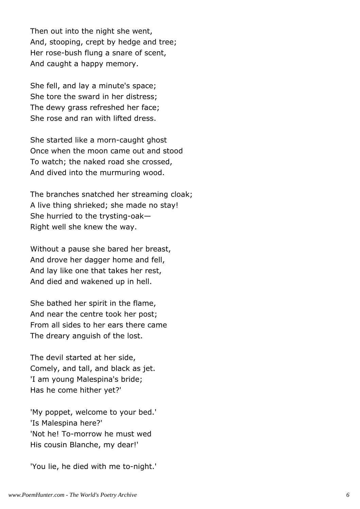Then out into the night she went, And, stooping, crept by hedge and tree; Her rose-bush flung a snare of scent, And caught a happy memory.

She fell, and lay a minute's space; She tore the sward in her distress; The dewy grass refreshed her face; She rose and ran with lifted dress.

She started like a morn-caught ghost Once when the moon came out and stood To watch; the naked road she crossed, And dived into the murmuring wood.

The branches snatched her streaming cloak; A live thing shrieked; she made no stay! She hurried to the trysting-oak— Right well she knew the way.

Without a pause she bared her breast, And drove her dagger home and fell, And lay like one that takes her rest, And died and wakened up in hell.

She bathed her spirit in the flame, And near the centre took her post; From all sides to her ears there came The dreary anguish of the lost.

The devil started at her side, Comely, and tall, and black as jet. 'I am young Malespina's bride; Has he come hither yet?'

'My poppet, welcome to your bed.' 'Is Malespina here?' 'Not he! To-morrow he must wed His cousin Blanche, my dear!'

'You lie, he died with me to-night.'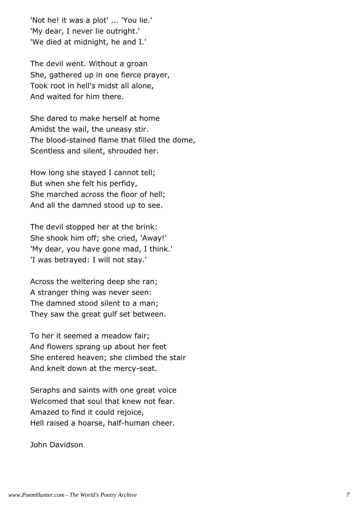'Not he! it was a plot' ... 'You lie.' 'My dear, I never lie outright.' 'We died at midnight, he and I.'

The devil went. Without a groan She, gathered up in one fierce prayer, Took root in hell's midst all alone, And waited for him there.

She dared to make herself at home Amidst the wail, the uneasy stir. The blood-stained flame that filled the dome, Scentless and silent, shrouded her.

How long she stayed I cannot tell; But when she felt his perfidy, She marched across the floor of hell; And all the damned stood up to see.

The devil stopped her at the brink: She shook him off; she cried, 'Away!' 'My dear, you have gone mad, I think.' 'I was betrayed: I will not stay.'

Across the weltering deep she ran; A stranger thing was never seen: The damned stood silent to a man; They saw the great gulf set between.

To her it seemed a meadow fair; And flowers sprang up about her feet She entered heaven; she climbed the stair And knelt down at the mercy-seat.

Seraphs and saints with one great voice Welcomed that soul that knew not fear. Amazed to find it could rejoice, Hell raised a hoarse, half-human cheer.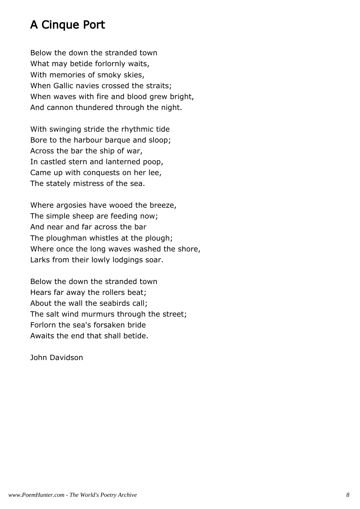## A Cinque Port

Below the down the stranded town What may betide forlornly waits, With memories of smoky skies, When Gallic navies crossed the straits; When waves with fire and blood grew bright, And cannon thundered through the night.

With swinging stride the rhythmic tide Bore to the harbour barque and sloop; Across the bar the ship of war, In castled stern and lanterned poop, Came up with conquests on her lee, The stately mistress of the sea.

Where argosies have wooed the breeze, The simple sheep are feeding now; And near and far across the bar The ploughman whistles at the plough; Where once the long waves washed the shore, Larks from their lowly lodgings soar.

Below the down the stranded town Hears far away the rollers beat; About the wall the seabirds call; The salt wind murmurs through the street; Forlorn the sea's forsaken bride Awaits the end that shall betide.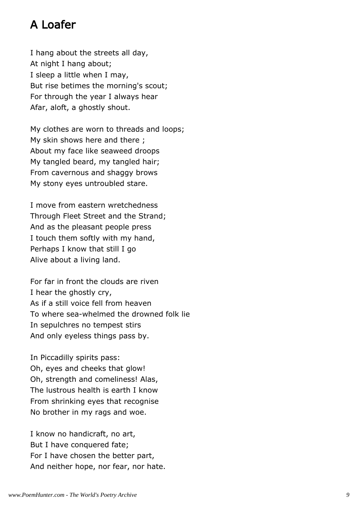## A Loafer

I hang about the streets all day, At night I hang about; I sleep a little when I may, But rise betimes the morning's scout; For through the year I always hear Afar, aloft, a ghostly shout.

My clothes are worn to threads and loops; My skin shows here and there ; About my face like seaweed droops My tangled beard, my tangled hair; From cavernous and shaggy brows My stony eyes untroubled stare.

I move from eastern wretchedness Through Fleet Street and the Strand; And as the pleasant people press I touch them softly with my hand, Perhaps I know that still I go Alive about a living land.

For far in front the clouds are riven I hear the ghostly cry, As if a still voice fell from heaven To where sea-whelmed the drowned folk lie In sepulchres no tempest stirs And only eyeless things pass by.

In Piccadilly spirits pass: Oh, eyes and cheeks that glow! Oh, strength and comeliness! Alas, The lustrous health is earth I know From shrinking eyes that recognise No brother in my rags and woe.

I know no handicraft, no art, But I have conquered fate; For I have chosen the better part, And neither hope, nor fear, nor hate.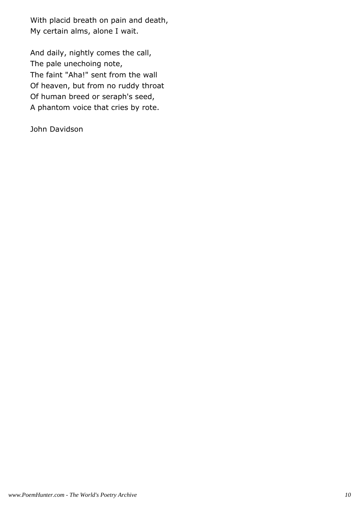With placid breath on pain and death, My certain alms, alone I wait.

And daily, nightly comes the call, The pale unechoing note, The faint "Aha!" sent from the wall Of heaven, but from no ruddy throat Of human breed or seraph's seed, A phantom voice that cries by rote.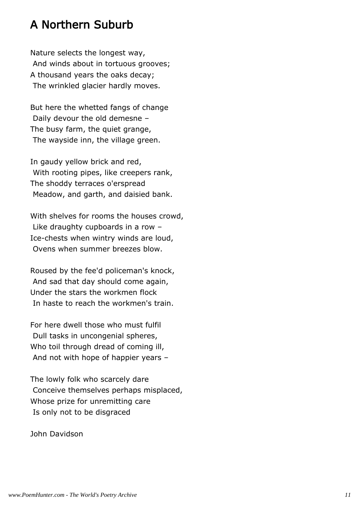#### A Northern Suburb

Nature selects the longest way, And winds about in tortuous grooves; A thousand years the oaks decay; The wrinkled glacier hardly moves.

But here the whetted fangs of change Daily devour the old demesne – The busy farm, the quiet grange, The wayside inn, the village green.

In gaudy yellow brick and red, With rooting pipes, like creepers rank, The shoddy terraces o'erspread Meadow, and garth, and daisied bank.

With shelves for rooms the houses crowd, Like draughty cupboards in a row – Ice-chests when wintry winds are loud, Ovens when summer breezes blow.

Roused by the fee'd policeman's knock, And sad that day should come again, Under the stars the workmen flock In haste to reach the workmen's train.

For here dwell those who must fulfil Dull tasks in uncongenial spheres, Who toil through dread of coming ill, And not with hope of happier years –

The lowly folk who scarcely dare Conceive themselves perhaps misplaced, Whose prize for unremitting care Is only not to be disgraced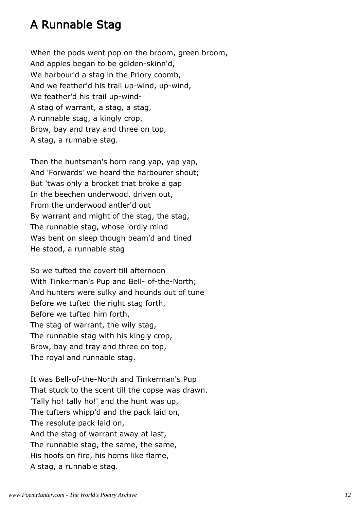## A Runnable Stag

When the pods went pop on the broom, green broom, And apples began to be golden-skinn'd, We harbour'd a stag in the Priory coomb, And we feather'd his trail up-wind, up-wind, We feather'd his trail up-wind-A stag of warrant, a stag, a stag, A runnable stag, a kingly crop, Brow, bay and tray and three on top, A stag, a runnable stag.

Then the huntsman's horn rang yap, yap yap, And 'Forwards' we heard the harbourer shout; But 'twas only a brocket that broke a gap In the beechen underwood, driven out, From the underwood antler'd out By warrant and might of the stag, the stag, The runnable stag, whose lordly mind Was bent on sleep though beam'd and tined He stood, a runnable stag

So we tufted the covert till afternoon With Tinkerman's Pup and Bell- of-the-North; And hunters were sulky and hounds out of tune Before we tufted the right stag forth, Before we tufted him forth, The stag of warrant, the wily stag, The runnable stag with his kingly crop, Brow, bay and tray and three on top, The royal and runnable stag.

It was Bell-of-the-North and Tinkerman's Pup That stuck to the scent till the copse was drawn. 'Tally ho! tally ho!' and the hunt was up, The tufters whipp'd and the pack laid on, The resolute pack laid on, And the stag of warrant away at last, The runnable stag, the same, the same, His hoofs on fire, his horns like flame, A stag, a runnable stag.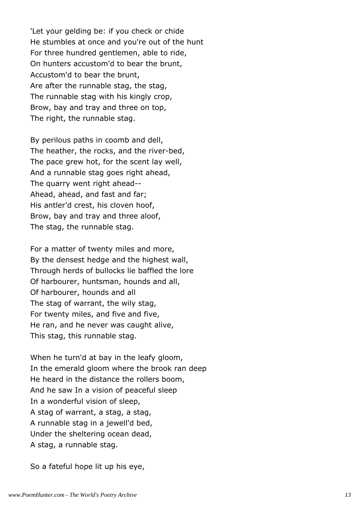'Let your gelding be: if you check or chide He stumbles at once and you're out of the hunt For three hundred gentlemen, able to ride, On hunters accustom'd to bear the brunt, Accustom'd to bear the brunt, Are after the runnable stag, the stag, The runnable stag with his kingly crop, Brow, bay and tray and three on top, The right, the runnable stag.

By perilous paths in coomb and dell, The heather, the rocks, and the river-bed, The pace grew hot, for the scent lay well, And a runnable stag goes right ahead, The quarry went right ahead-- Ahead, ahead, and fast and far; His antler'd crest, his cloven hoof, Brow, bay and tray and three aloof, The stag, the runnable stag.

For a matter of twenty miles and more, By the densest hedge and the highest wall, Through herds of bullocks lie baffled the lore Of harbourer, huntsman, hounds and all, Of harbourer, hounds and all The stag of warrant, the wily stag, For twenty miles, and five and five, He ran, and he never was caught alive, This stag, this runnable stag.

When he turn'd at bay in the leafy gloom, In the emerald gloom where the brook ran deep He heard in the distance the rollers boom, And he saw In a vision of peaceful sleep In a wonderful vision of sleep, A stag of warrant, a stag, a stag, A runnable stag in a jewell'd bed, Under the sheltering ocean dead, A stag, a runnable stag.

So a fateful hope lit up his eye,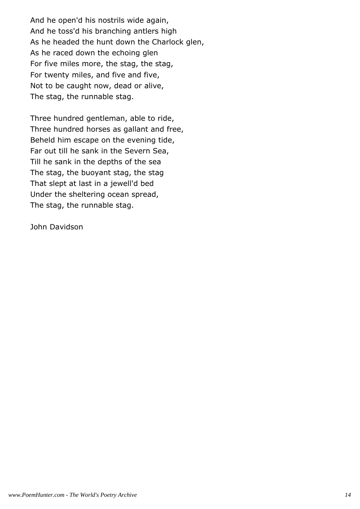And he open'd his nostrils wide again, And he toss'd his branching antlers high As he headed the hunt down the Charlock glen, As he raced down the echoing glen For five miles more, the stag, the stag, For twenty miles, and five and five, Not to be caught now, dead or alive, The stag, the runnable stag.

Three hundred gentleman, able to ride, Three hundred horses as gallant and free, Beheld him escape on the evening tide, Far out till he sank in the Severn Sea, Till he sank in the depths of the sea The stag, the buoyant stag, the stag That slept at last in a jewell'd bed Under the sheltering ocean spread, The stag, the runnable stag.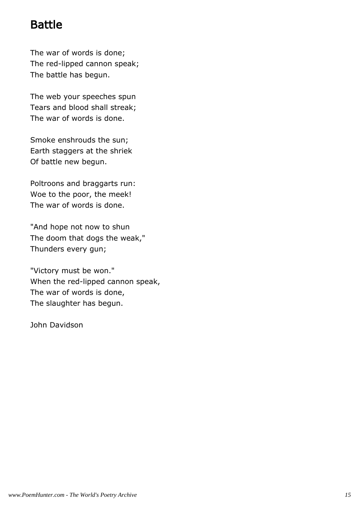#### Battle

The war of words is done; The red-lipped cannon speak; The battle has begun.

The web your speeches spun Tears and blood shall streak; The war of words is done.

Smoke enshrouds the sun; Earth staggers at the shriek Of battle new begun.

Poltroons and braggarts run: Woe to the poor, the meek! The war of words is done.

"And hope not now to shun The doom that dogs the weak," Thunders every gun;

"Victory must be won." When the red-lipped cannon speak, The war of words is done, The slaughter has begun.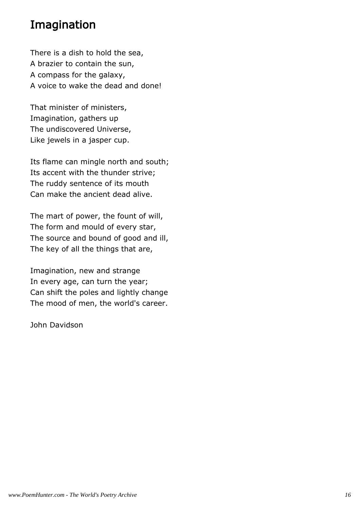## Imagination

There is a dish to hold the sea, A brazier to contain the sun, A compass for the galaxy, A voice to wake the dead and done!

That minister of ministers, Imagination, gathers up The undiscovered Universe, Like jewels in a jasper cup.

Its flame can mingle north and south; Its accent with the thunder strive; The ruddy sentence of its mouth Can make the ancient dead alive.

The mart of power, the fount of will, The form and mould of every star, The source and bound of good and ill, The key of all the things that are,

Imagination, new and strange In every age, can turn the year; Can shift the poles and lightly change The mood of men, the world's career.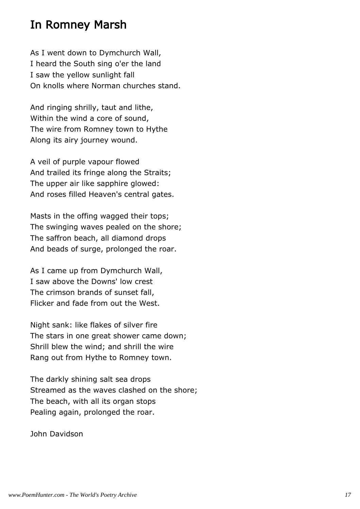#### In Romney Marsh

As I went down to Dymchurch Wall, I heard the South sing o'er the land I saw the yellow sunlight fall On knolls where Norman churches stand.

And ringing shrilly, taut and lithe, Within the wind a core of sound, The wire from Romney town to Hythe Along its airy journey wound.

A veil of purple vapour flowed And trailed its fringe along the Straits; The upper air like sapphire glowed: And roses filled Heaven's central gates.

Masts in the offing wagged their tops; The swinging waves pealed on the shore; The saffron beach, all diamond drops And beads of surge, prolonged the roar.

As I came up from Dymchurch Wall, I saw above the Downs' low crest The crimson brands of sunset fall, Flicker and fade from out the West.

Night sank: like flakes of silver fire The stars in one great shower came down; Shrill blew the wind; and shrill the wire Rang out from Hythe to Romney town.

The darkly shining salt sea drops Streamed as the waves clashed on the shore; The beach, with all its organ stops Pealing again, prolonged the roar.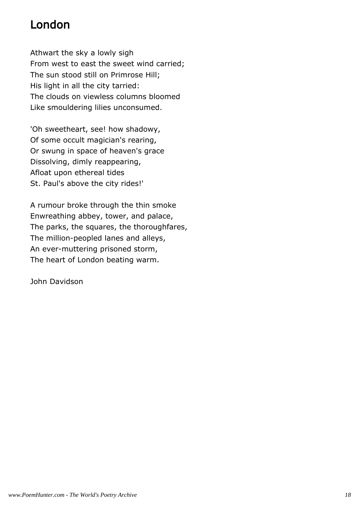## London

Athwart the sky a lowly sigh From west to east the sweet wind carried; The sun stood still on Primrose Hill; His light in all the city tarried: The clouds on viewless columns bloomed Like smouldering lilies unconsumed.

'Oh sweetheart, see! how shadowy, Of some occult magician's rearing, Or swung in space of heaven's grace Dissolving, dimly reappearing, Afloat upon ethereal tides St. Paul's above the city rides!'

A rumour broke through the thin smoke Enwreathing abbey, tower, and palace, The parks, the squares, the thoroughfares, The million-peopled lanes and alleys, An ever-muttering prisoned storm, The heart of London beating warm.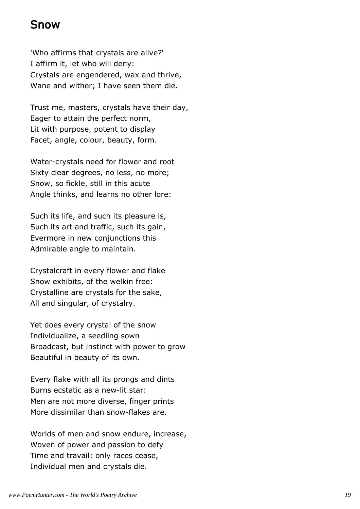#### Snow

'Who affirms that crystals are alive?' I affirm it, let who will deny: Crystals are engendered, wax and thrive, Wane and wither; I have seen them die.

Trust me, masters, crystals have their day, Eager to attain the perfect norm, Lit with purpose, potent to display Facet, angle, colour, beauty, form.

Water-crystals need for flower and root Sixty clear degrees, no less, no more; Snow, so fickle, still in this acute Angle thinks, and learns no other lore:

Such its life, and such its pleasure is, Such its art and traffic, such its gain, Evermore in new conjunctions this Admirable angle to maintain.

Crystalcraft in every flower and flake Snow exhibits, of the welkin free: Crystalline are crystals for the sake, All and singular, of crystalry.

Yet does every crystal of the snow Individualize, a seedling sown Broadcast, but instinct with power to grow Beautiful in beauty of its own.

Every flake with all its prongs and dints Burns ecstatic as a new-lit star: Men are not more diverse, finger prints More dissimilar than snow-flakes are.

Worlds of men and snow endure, increase, Woven of power and passion to defy Time and travail: only races cease, Individual men and crystals die.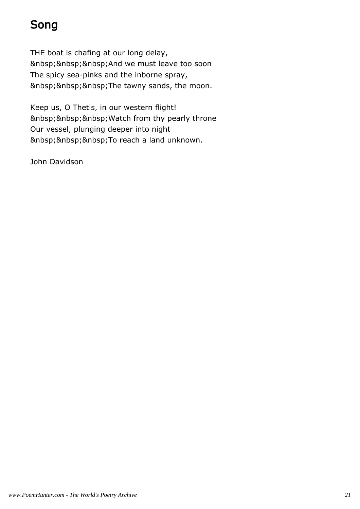# Song

THE boat is chafing at our long delay, And we must leave too soon The spicy sea-pinks and the inborne spray, The tawny sands, the moon.

Keep us, O Thetis, in our western flight! Watch from thy pearly throne Our vessel, plunging deeper into night To reach a land unknown.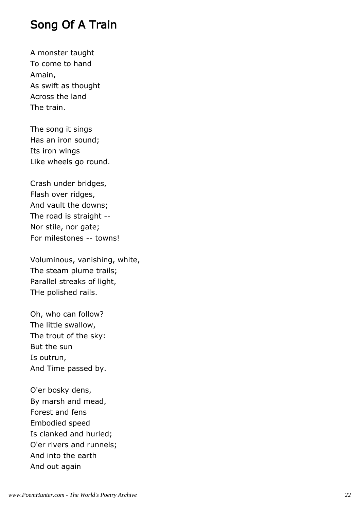#### Song Of A Train

A monster taught To come to hand Amain, As swift as thought Across the land The train.

The song it sings Has an iron sound; Its iron wings Like wheels go round.

Crash under bridges, Flash over ridges, And vault the downs; The road is straight -- Nor stile, nor gate; For milestones -- towns!

Voluminous, vanishing, white, The steam plume trails; Parallel streaks of light, THe polished rails.

Oh, who can follow? The little swallow, The trout of the sky: But the sun Is outrun, And Time passed by.

O'er bosky dens, By marsh and mead, Forest and fens Embodied speed Is clanked and hurled; O'er rivers and runnels; And into the earth And out again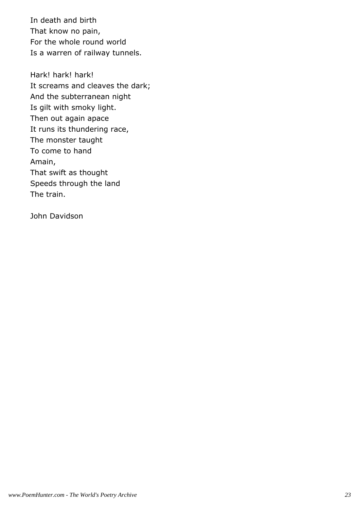In death and birth That know no pain, For the whole round world Is a warren of railway tunnels.

Hark! hark! hark! It screams and cleaves the dark; And the subterranean night Is gilt with smoky light. Then out again apace It runs its thundering race, The monster taught To come to hand Amain, That swift as thought Speeds through the land The train.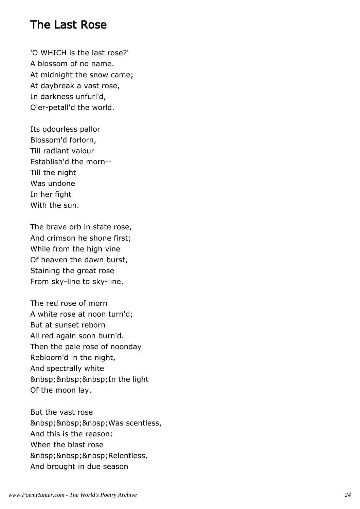#### The Last Rose

'O WHICH is the last rose?' A blossom of no name. At midnight the snow came; At daybreak a vast rose, In darkness unfurl'd, O'er-petall'd the world.

Its odourless pallor Blossom'd forlorn, Till radiant valour Establish'd the morn-- Till the night Was undone In her fight With the sun.

The brave orb in state rose, And crimson he shone first; While from the high vine Of heaven the dawn burst, Staining the great rose From sky-line to sky-line.

The red rose of morn A white rose at noon turn'd; But at sunset reborn All red again soon burn'd. Then the pale rose of noonday Rebloom'd in the night, And spectrally white In the light Of the moon lay.

But the vast rose Was scentless, And this is the reason: When the blast rose Relentless, And brought in due season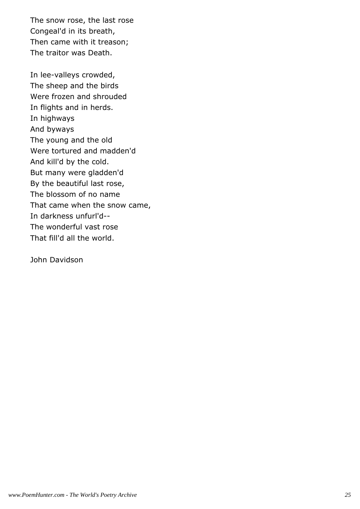The snow rose, the last rose Congeal'd in its breath, Then came with it treason; The traitor was Death.

In lee-valleys crowded, The sheep and the birds Were frozen and shrouded In flights and in herds. In highways And byways The young and the old Were tortured and madden'd And kill'd by the cold. But many were gladden'd By the beautiful last rose, The blossom of no name That came when the snow came, In darkness unfurl'd-- The wonderful vast rose That fill'd all the world.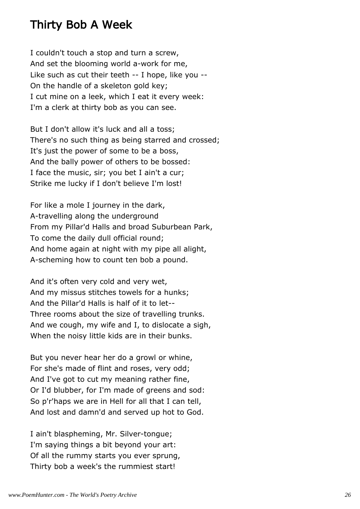#### Thirty Bob A Week

I couldn't touch a stop and turn a screw, And set the blooming world a-work for me, Like such as cut their teeth -- I hope, like you -- On the handle of a skeleton gold key; I cut mine on a leek, which I eat it every week: I'm a clerk at thirty bob as you can see.

But I don't allow it's luck and all a toss; There's no such thing as being starred and crossed; It's just the power of some to be a boss, And the bally power of others to be bossed: I face the music, sir; you bet I ain't a cur; Strike me lucky if I don't believe I'm lost!

For like a mole I journey in the dark, A-travelling along the underground From my Pillar'd Halls and broad Suburbean Park, To come the daily dull official round; And home again at night with my pipe all alight, A-scheming how to count ten bob a pound.

And it's often very cold and very wet, And my missus stitches towels for a hunks; And the Pillar'd Halls is half of it to let-- Three rooms about the size of travelling trunks. And we cough, my wife and I, to dislocate a sigh, When the noisy little kids are in their bunks.

But you never hear her do a growl or whine, For she's made of flint and roses, very odd; And I've got to cut my meaning rather fine, Or I'd blubber, for I'm made of greens and sod: So p'r'haps we are in Hell for all that I can tell, And lost and damn'd and served up hot to God.

I ain't blaspheming, Mr. Silver-tongue; I'm saying things a bit beyond your art: Of all the rummy starts you ever sprung, Thirty bob a week's the rummiest start!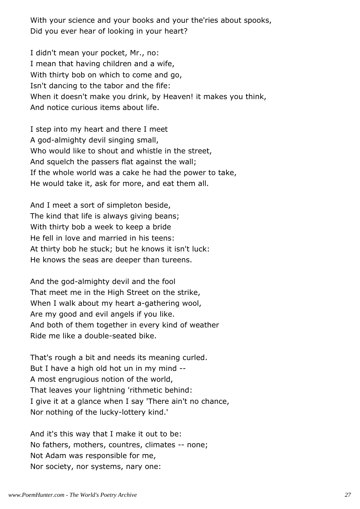With your science and your books and your the'ries about spooks, Did you ever hear of looking in your heart?

I didn't mean your pocket, Mr., no: I mean that having children and a wife, With thirty bob on which to come and go, Isn't dancing to the tabor and the fife: When it doesn't make you drink, by Heaven! it makes you think, And notice curious items about life.

I step into my heart and there I meet A god-almighty devil singing small, Who would like to shout and whistle in the street, And squelch the passers flat against the wall; If the whole world was a cake he had the power to take, He would take it, ask for more, and eat them all.

And I meet a sort of simpleton beside, The kind that life is always giving beans; With thirty bob a week to keep a bride He fell in love and married in his teens: At thirty bob he stuck; but he knows it isn't luck: He knows the seas are deeper than tureens.

And the god-almighty devil and the fool That meet me in the High Street on the strike, When I walk about my heart a-gathering wool, Are my good and evil angels if you like. And both of them together in every kind of weather Ride me like a double-seated bike.

That's rough a bit and needs its meaning curled. But I have a high old hot un in my mind -- A most engrugious notion of the world, That leaves your lightning 'rithmetic behind: I give it at a glance when I say 'There ain't no chance, Nor nothing of the lucky-lottery kind.'

And it's this way that I make it out to be: No fathers, mothers, countres, climates -- none; Not Adam was responsible for me, Nor society, nor systems, nary one: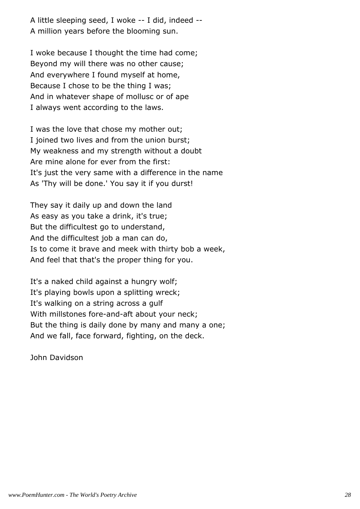A little sleeping seed, I woke -- I did, indeed -- A million years before the blooming sun.

I woke because I thought the time had come; Beyond my will there was no other cause; And everywhere I found myself at home, Because I chose to be the thing I was; And in whatever shape of mollusc or of ape I always went according to the laws.

I was the love that chose my mother out; I joined two lives and from the union burst; My weakness and my strength without a doubt Are mine alone for ever from the first: It's just the very same with a difference in the name As 'Thy will be done.' You say it if you durst!

They say it daily up and down the land As easy as you take a drink, it's true; But the difficultest go to understand, And the difficultest job a man can do, Is to come it brave and meek with thirty bob a week, And feel that that's the proper thing for you.

It's a naked child against a hungry wolf; It's playing bowls upon a splitting wreck; It's walking on a string across a gulf With millstones fore-and-aft about your neck; But the thing is daily done by many and many a one; And we fall, face forward, fighting, on the deck.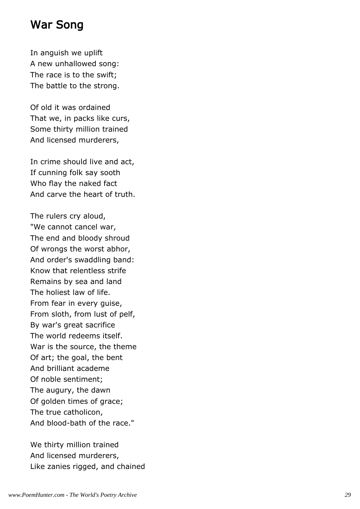#### War Song

In anguish we uplift A new unhallowed song: The race is to the swift; The battle to the strong.

Of old it was ordained That we, in packs like curs, Some thirty million trained And licensed murderers,

In crime should live and act, If cunning folk say sooth Who flay the naked fact And carve the heart of truth.

The rulers cry aloud, "We cannot cancel war, The end and bloody shroud Of wrongs the worst abhor, And order's swaddling band: Know that relentless strife Remains by sea and land The holiest law of life. From fear in every guise, From sloth, from lust of pelf, By war's great sacrifice The world redeems itself. War is the source, the theme Of art; the goal, the bent And brilliant academe Of noble sentiment; The augury, the dawn Of golden times of grace; The true catholicon, And blood-bath of the race."

We thirty million trained And licensed murderers, Like zanies rigged, and chained